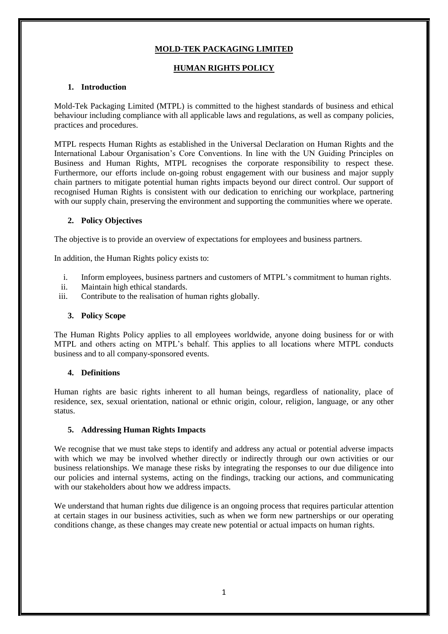# **MOLD-TEK PACKAGING LIMITED**

## **HUMAN RIGHTS POLICY**

## **1. Introduction**

Mold-Tek Packaging Limited (MTPL) is committed to the highest standards of business and ethical behaviour including compliance with all applicable laws and regulations, as well as company policies, practices and procedures.

MTPL respects Human Rights as established in the Universal Declaration on Human Rights and the International Labour Organisation's Core Conventions. In line with the UN Guiding Principles on Business and Human Rights, MTPL recognises the corporate responsibility to respect these. Furthermore, our efforts include on-going robust engagement with our business and major supply chain partners to mitigate potential human rights impacts beyond our direct control. Our support of recognised Human Rights is consistent with our dedication to enriching our workplace, partnering with our supply chain, preserving the environment and supporting the communities where we operate.

## **2. Policy Objectives**

The objective is to provide an overview of expectations for employees and business partners.

In addition, the Human Rights policy exists to:

- i. Inform employees, business partners and customers of MTPL's commitment to human rights.
- ii. Maintain high ethical standards.
- iii. Contribute to the realisation of human rights globally.

#### **3. Policy Scope**

The Human Rights Policy applies to all employees worldwide, anyone doing business for or with MTPL and others acting on MTPL's behalf. This applies to all locations where MTPL conducts business and to all company-sponsored events.

#### **4. Definitions**

Human rights are basic rights inherent to all human beings, regardless of nationality, place of residence, sex, sexual orientation, national or ethnic origin, colour, religion, language, or any other status.

#### **5. Addressing Human Rights Impacts**

We recognise that we must take steps to identify and address any actual or potential adverse impacts with which we may be involved whether directly or indirectly through our own activities or our business relationships. We manage these risks by integrating the responses to our due diligence into our policies and internal systems, acting on the findings, tracking our actions, and communicating with our stakeholders about how we address impacts.

We understand that human rights due diligence is an ongoing process that requires particular attention at certain stages in our business activities, such as when we form new partnerships or our operating conditions change, as these changes may create new potential or actual impacts on human rights.